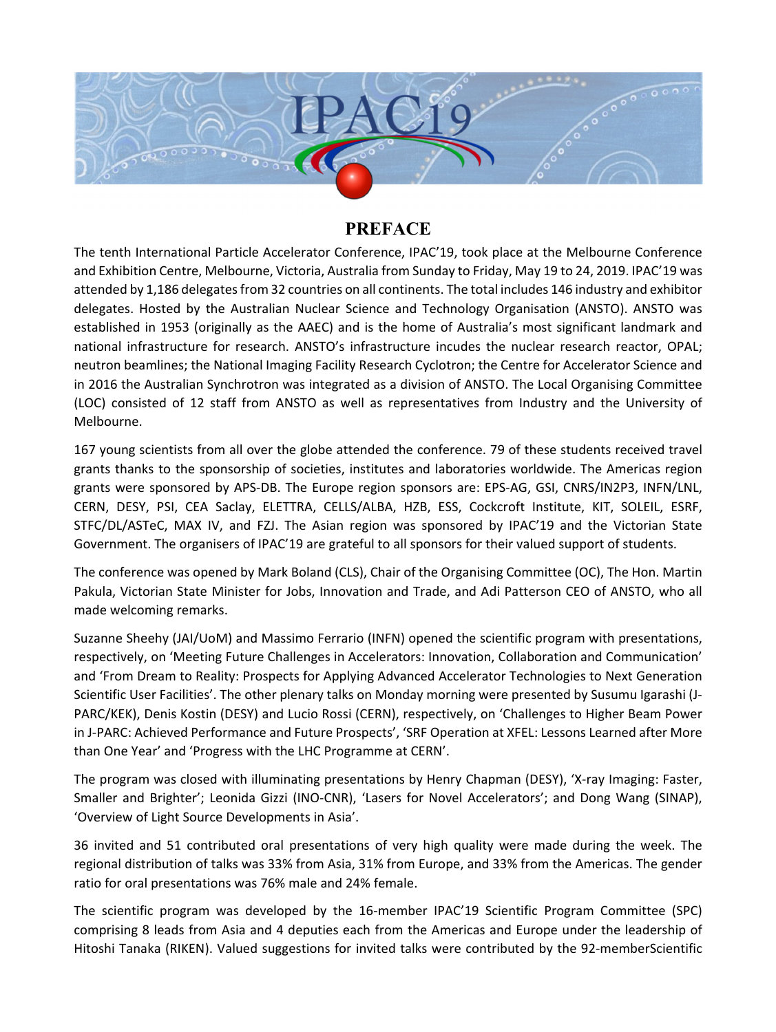

## **PREFACE**

The tenth International Particle Accelerator Conference, IPAC'19, took place at the Melbourne Conference and Exhibition Centre, Melbourne, Victoria, Australia from Sunday to Friday, May 19 to 24, 2019. IPAC'19 was attended by 1,186 delegates from 32 countries on all continents. The total includes 146 industry and exhibitor delegates. Hosted by the Australian Nuclear Science and Technology Organisation (ANSTO). ANSTO was established in 1953 (originally as the AAEC) and is the home of Australia's most significant landmark and national infrastructure for research. ANSTO's infrastructure incudes the nuclear research reactor, OPAL; neutron beamlines; the National Imaging Facility Research Cyclotron; the Centre for Accelerator Science and in 2016 the Australian Synchrotron was integrated as a division of ANSTO. The Local Organising Committee (LOC) consisted of 12 staff from ANSTO as well as representatives from Industry and the University of Melbourne.

167 young scientists from all over the globe attended the conference. 79 of these students received travel grants thanks to the sponsorship of societies, institutes and laboratories worldwide. The Americas region grants were sponsored by APS-DB. The Europe region sponsors are: EPS-AG, GSI, CNRS/IN2P3, INFN/LNL, CERN, DESY, PSI, CEA Saclay, ELETTRA, CELLS/ALBA, HZB, ESS, Cockcroft Institute, KIT, SOLEIL, ESRF, STFC/DL/ASTeC, MAX IV, and FZJ. The Asian region was sponsored by IPAC'19 and the Victorian State Government. The organisers of IPAC'19 are grateful to all sponsors for their valued support of students.

The conference was opened by Mark Boland (CLS), Chair of the Organising Committee (OC), The Hon. Martin Pakula, Victorian State Minister for Jobs, Innovation and Trade, and Adi Patterson CEO of ANSTO, who all made welcoming remarks.

Suzanne Sheehy (JAI/UoM) and Massimo Ferrario (INFN) opened the scientific program with presentations, respectively, on 'Meeting Future Challenges in Accelerators: Innovation, Collaboration and Communication' and 'From Dream to Reality: Prospects for Applying Advanced Accelerator Technologies to Next Generation Scientific User Facilities'. The other plenary talks on Monday morning were presented by Susumu Igarashi (J-PARC/KEK), Denis Kostin (DESY) and Lucio Rossi (CERN), respectively, on 'Challenges to Higher Beam Power in J-PARC: Achieved Performance and Future Prospects', 'SRF Operation at XFEL: Lessons Learned after More than One Year' and 'Progress with the LHC Programme at CERN'.

The program was closed with illuminating presentations by Henry Chapman (DESY), 'X-ray Imaging: Faster, Smaller and Brighter'; Leonida Gizzi (INO-CNR), 'Lasers for Novel Accelerators'; and Dong Wang (SINAP), 'Overview of Light Source Developments in Asia'.

36 invited and 51 contributed oral presentations of very high quality were made during the week. The regional distribution of talks was 33% from Asia, 31% from Europe, and 33% from the Americas. The gender ratio for oral presentations was 76% male and 24% female.

The scientific program was developed by the 16-member IPAC'19 Scientific Program Committee (SPC) comprising 8 leads from Asia and 4 deputies each from the Americas and Europe under the leadership of Hitoshi Tanaka (RIKEN). Valued suggestions for invited talks were contributed by the 92-memberScientific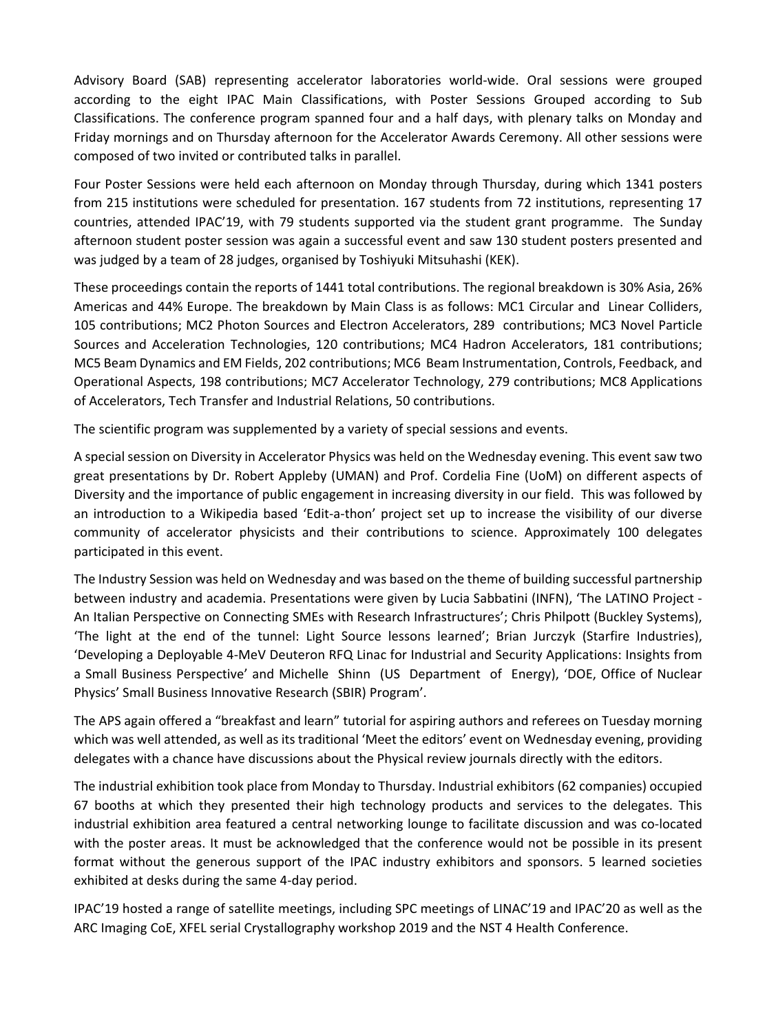Advisory Board (SAB) representing accelerator laboratories world-wide. Oral sessions were grouped according to the eight IPAC Main Classifications, with Poster Sessions Grouped according to Sub Classifications. The conference program spanned four and a half days, with plenary talks on Monday and Friday mornings and on Thursday afternoon for the Accelerator Awards Ceremony. All other sessions were composed of two invited or contributed talks in parallel.

Four Poster Sessions were held each afternoon on Monday through Thursday, during which 1341 posters from 215 institutions were scheduled for presentation. 167 students from 72 institutions, representing 17 countries, attended IPAC'19, with 79 students supported via the student grant programme. The Sunday afternoon student poster session was again a successful event and saw 130 student posters presented and was judged by a team of 28 judges, organised by Toshiyuki Mitsuhashi (KEK).

These proceedings contain the reports of 1441 total contributions. The regional breakdown is 30% Asia, 26% Americas and 44% Europe. The breakdown by Main Class is as follows: MC1 Circular and Linear Colliders, 105 contributions; MC2 Photon Sources and Electron Accelerators, 289 contributions; MC3 Novel Particle Sources and Acceleration Technologies, 120 contributions; MC4 Hadron Accelerators, 181 contributions; MC5 Beam Dynamics and EM Fields, 202 contributions; MC6 Beam Instrumentation, Controls, Feedback, and Operational Aspects, 198 contributions; MC7 Accelerator Technology, 279 contributions; MC8 Applications of Accelerators, Tech Transfer and Industrial Relations, 50 contributions.

The scientific program was supplemented by a variety of special sessions and events.

A special session on Diversity in Accelerator Physics was held on the Wednesday evening. This event saw two great presentations by Dr. Robert Appleby (UMAN) and Prof. Cordelia Fine (UoM) on different aspects of Diversity and the importance of public engagement in increasing diversity in our field. This was followed by an introduction to a Wikipedia based 'Edit-a-thon' project set up to increase the visibility of our diverse community of accelerator physicists and their contributions to science. Approximately 100 delegates participated in this event.

The Industry Session was held on Wednesday and was based on the theme of building successful partnership between industry and academia. Presentations were given by Lucia Sabbatini (INFN), 'The LATINO Project - An Italian Perspective on Connecting SMEs with Research Infrastructures'; Chris Philpott (Buckley Systems), 'The light at the end of the tunnel: Light Source lessons learned'; Brian Jurczyk (Starfire Industries), 'Developing a Deployable 4-MeV Deuteron RFQ Linac for Industrial and Security Applications: Insights from a Small Business Perspective' and Michelle Shinn (US Department of Energy), 'DOE, Office of Nuclear Physics' Small Business Innovative Research (SBIR) Program'.

The APS again offered a "breakfast and learn" tutorial for aspiring authors and referees on Tuesday morning which was well attended, as well as its traditional 'Meet the editors' event on Wednesday evening, providing delegates with a chance have discussions about the Physical review journals directly with the editors.

The industrial exhibition took place from Monday to Thursday. Industrial exhibitors (62 companies) occupied 67 booths at which they presented their high technology products and services to the delegates. This industrial exhibition area featured a central networking lounge to facilitate discussion and was co-located with the poster areas. It must be acknowledged that the conference would not be possible in its present format without the generous support of the IPAC industry exhibitors and sponsors. 5 learned societies exhibited at desks during the same 4-day period.

IPAC'19 hosted a range of satellite meetings, including SPC meetings of LINAC'19 and IPAC'20 as well as the ARC Imaging CoE, XFEL serial Crystallography workshop 2019 and the NST 4 Health Conference.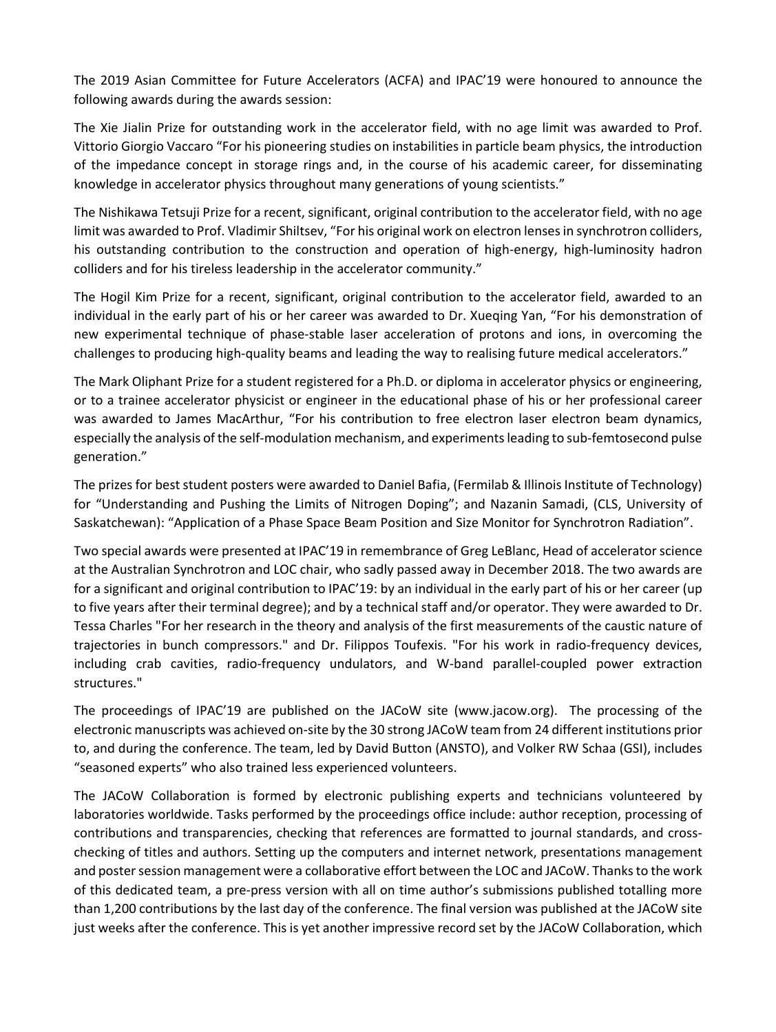The 2019 Asian Committee for Future Accelerators (ACFA) and IPAC'19 were honoured to announce the following awards during the awards session:

The Xie Jialin Prize for outstanding work in the accelerator field, with no age limit was awarded to Prof. Vittorio Giorgio Vaccaro "For his pioneering studies on instabilities in particle beam physics, the introduction of the impedance concept in storage rings and, in the course of his academic career, for disseminating knowledge in accelerator physics throughout many generations of young scientists."

The Nishikawa Tetsuji Prize for a recent, significant, original contribution to the accelerator field, with no age limit was awarded to Prof. Vladimir Shiltsev, "For his original work on electron lenses in synchrotron colliders, his outstanding contribution to the construction and operation of high-energy, high-luminosity hadron colliders and for his tireless leadership in the accelerator community."

The Hogil Kim Prize for a recent, significant, original contribution to the accelerator field, awarded to an individual in the early part of his or her career was awarded to Dr. Xueqing Yan, "For his demonstration of new experimental technique of phase-stable laser acceleration of protons and ions, in overcoming the challenges to producing high-quality beams and leading the way to realising future medical accelerators."

The Mark Oliphant Prize for a student registered for a Ph.D. or diploma in accelerator physics or engineering, or to a trainee accelerator physicist or engineer in the educational phase of his or her professional career was awarded to James MacArthur, "For his contribution to free electron laser electron beam dynamics, especially the analysis of the self-modulation mechanism, and experiments leading to sub-femtosecond pulse generation."

The prizes for best student posters were awarded to Daniel Bafia, (Fermilab & Illinois Institute of Technology) for "Understanding and Pushing the Limits of Nitrogen Doping"; and Nazanin Samadi, (CLS, University of Saskatchewan): "Application of a Phase Space Beam Position and Size Monitor for Synchrotron Radiation".

Two special awards were presented at IPAC'19 in remembrance of Greg LeBlanc, Head of accelerator science at the Australian Synchrotron and LOC chair, who sadly passed away in December 2018. The two awards are for a significant and original contribution to IPAC'19: by an individual in the early part of his or her career (up to five years after their terminal degree); and by a technical staff and/or operator. They were awarded to Dr. Tessa Charles "For her research in the theory and analysis of the first measurements of the caustic nature of trajectories in bunch compressors." and Dr. Filippos Toufexis. "For his work in radio-frequency devices, including crab cavities, radio-frequency undulators, and W-band parallel-coupled power extraction structures."

The proceedings of IPAC'19 are published on the JACoW site (www.jacow.org). The processing of the electronic manuscripts was achieved on-site by the 30 strong JACoW team from 24 different institutions prior to, and during the conference. The team, led by David Button (ANSTO), and Volker RW Schaa (GSI), includes "seasoned experts" who also trained less experienced volunteers.

The JACoW Collaboration is formed by electronic publishing experts and technicians volunteered by laboratories worldwide. Tasks performed by the proceedings office include: author reception, processing of contributions and transparencies, checking that references are formatted to journal standards, and crosschecking of titles and authors. Setting up the computers and internet network, presentations management and poster session management were a collaborative effort between the LOC and JACoW. Thanks to the work of this dedicated team, a pre-press version with all on time author's submissions published totalling more than 1,200 contributions by the last day of the conference. The final version was published at the JACoW site just weeks after the conference. This is yet another impressive record set by the JACoW Collaboration, which